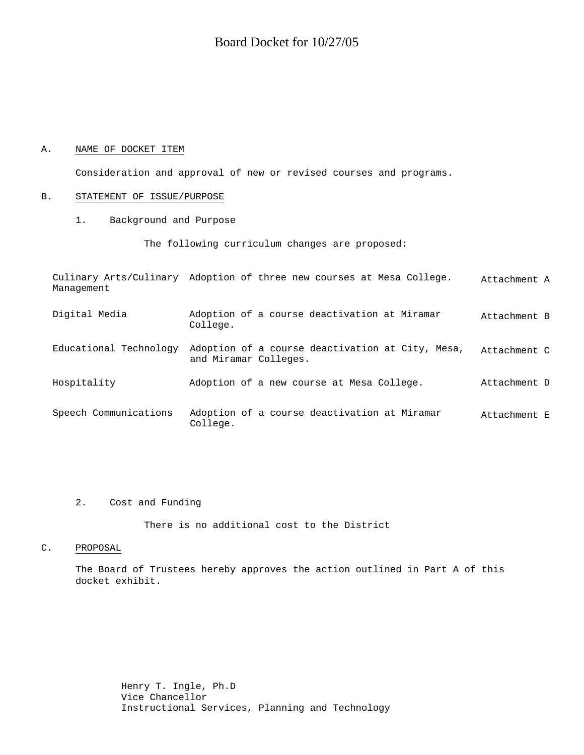# Board Docket for 10/27/05

#### A. NAME OF DOCKET ITEM

Consideration and approval of new or revised courses and programs.

#### B. STATEMENT OF ISSUE/PURPOSE

1. Background and Purpose

The following curriculum changes are proposed:

Culinary Arts/Culinary Adoption of three new courses at Mesa College. Attachment A Management Digital Media Adoption of a course deactivation at Miramar College. Attachment B Educational Technology Adoption of a course deactivation at City, Mesa, and Miramar Colleges. Attachment C Hospitality Adoption of a new course at Mesa College. Attachment D Speech Communications Adoption of a course deactivation at Miramar College. Attachment E

## 2. Cost and Funding

There is no additional cost to the District

#### C. PROPOSAL

The Board of Trustees hereby approves the action outlined in Part A of this docket exhibit.

> Henry T. Ingle, Ph.D Vice Chancellor Instructional Services, Planning and Technology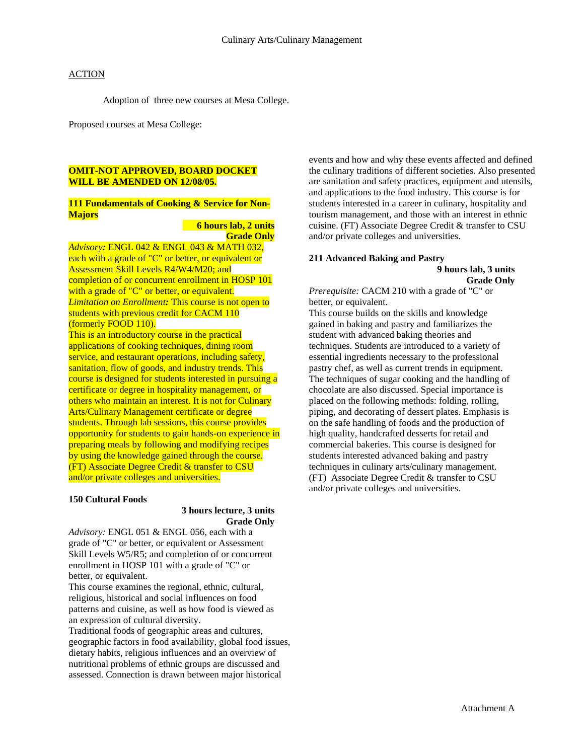Adoption of three new courses at Mesa College.

Proposed courses at Mesa College:

#### **OMIT-NOT APPROVED, BOARD DOCKET WILL BE AMENDED ON 12/08/05.**

#### **111 Fundamentals of Cooking & Service for Non-Majors**

## **6 hours lab, 2 units Grade Only**

*Advisory:* ENGL 042 & ENGL 043 & MATH 032, each with a grade of "C" or better, or equivalent or Assessment Skill Levels R4/W4/M20; and completion of or concurrent enrollment in HOSP 101 with a grade of "C" or better, or equivalent. *Limitation on Enrollment:* This course is not open to students with previous credit for CACM 110 (formerly FOOD 110).

This is an introductory course in the practical applications of cooking techniques, dining room service, and restaurant operations, including safety, sanitation, flow of goods, and industry trends. This course is designed for students interested in pursuing a certificate or degree in hospitality management, or others who maintain an interest. It is not for Culinary Arts/Culinary Management certificate or degree students. Through lab sessions, this course provides opportunity for students to gain hands-on experience in preparing meals by following and modifying recipes by using the knowledge gained through the course. (FT) Associate Degree Credit & transfer to CSU and/or private colleges and universities.

#### **150 Cultural Foods**

## **3 hours lecture, 3 units Grade Only**

*Advisory:* ENGL 051 & ENGL 056, each with a grade of "C" or better, or equivalent or Assessment Skill Levels W5/R5; and completion of or concurrent enrollment in HOSP 101 with a grade of "C" or better, or equivalent.

This course examines the regional, ethnic, cultural, religious, historical and social influences on food patterns and cuisine, as well as how food is viewed as an expression of cultural diversity.

Traditional foods of geographic areas and cultures, geographic factors in food availability, global food issues, dietary habits, religious influences and an overview of nutritional problems of ethnic groups are discussed and assessed. Connection is drawn between major historical

events and how and why these events affected and defined the culinary traditions of different societies. Also presented are sanitation and safety practices, equipment and utensils, and applications to the food industry. This course is for students interested in a career in culinary, hospitality and tourism management, and those with an interest in ethnic cuisine. (FT) Associate Degree Credit & transfer to CSU and/or private colleges and universities.

# **211 Advanced Baking and Pastry**

 **9 hours lab, 3 units Grade Only** 

*Prerequisite:* CACM 210 with a grade of "C" or better, or equivalent.

This course builds on the skills and knowledge gained in baking and pastry and familiarizes the student with advanced baking theories and techniques. Students are introduced to a variety of essential ingredients necessary to the professional pastry chef, as well as current trends in equipment. The techniques of sugar cooking and the handling of chocolate are also discussed. Special importance is placed on the following methods: folding, rolling, piping, and decorating of dessert plates. Emphasis is on the safe handling of foods and the production of high quality, handcrafted desserts for retail and commercial bakeries. This course is designed for students interested advanced baking and pastry techniques in culinary arts/culinary management. (FT) Associate Degree Credit & transfer to CSU and/or private colleges and universities.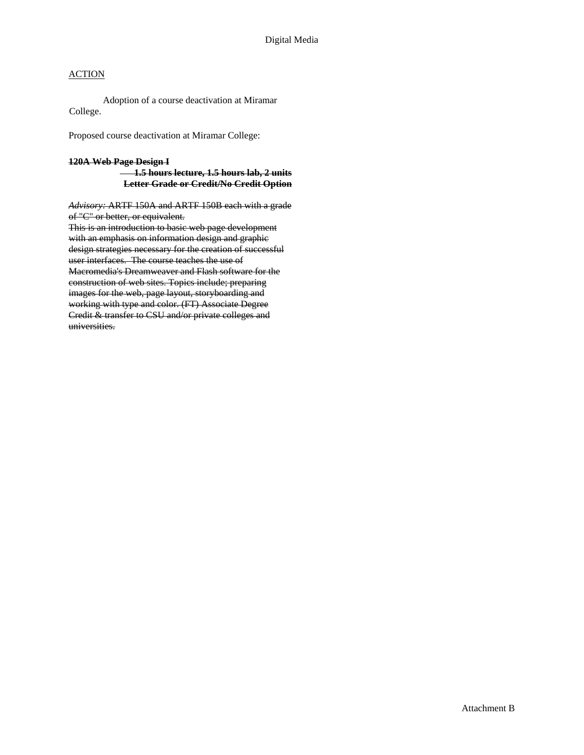Adoption of a course deactivation at Miramar College.

Proposed course deactivation at Miramar College:

## **120A Web Page Design I 1.5 hours lecture, 1.5 hours lab, 2 units Letter Grade or Credit/No Credit Option**

*Advisory:* ARTF 150A and ARTF 150B each with a grade of "C" or better, or equivalent. This is an introduction to basic web page development with an emphasis on information design and graphic design strategies necessary for the creation of successful user interfaces. The course teaches the use of Macromedia's Dreamweaver and Flash software for the

construction of web sites. Topics include; preparing images for the web, page layout, storyboarding and working with type and color. (FT) Associate Degree Credit & transfer to CSU and/or private colleges and universities.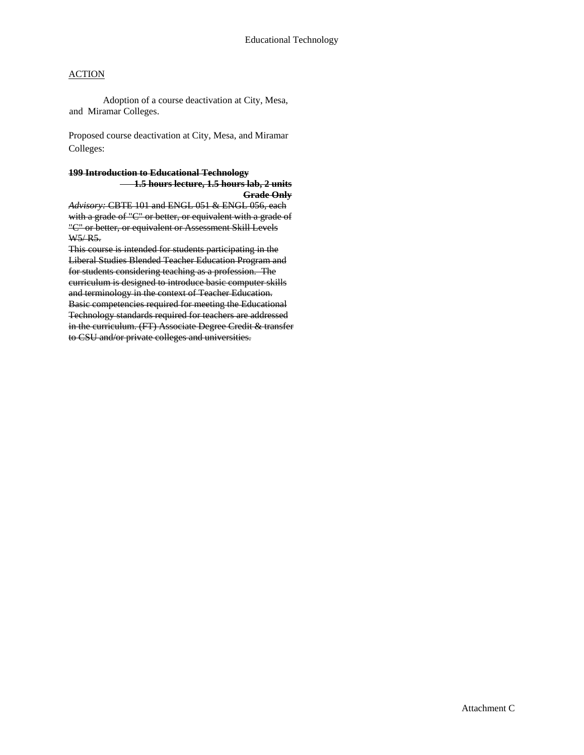Adoption of a course deactivation at City, Mesa, and Miramar Colleges.

Proposed course deactivation at City, Mesa, and Miramar Colleges:

#### **199 Introduction to Educational Technology 1.5 hours lecture, 1.5 hours lab, 2 units Grade Only**

*Advisory:* CBTE 101 and ENGL 051 & ENGL 056, each with a grade of "C" or better, or equivalent with a grade of "C" or better, or equivalent or Assessment Skill Levels W5/ R5.

This course is intended for students participating in the Liberal Studies Blended Teacher Education Program and for students considering teaching as a profession. The curriculum is designed to introduce basic computer skills and terminology in the context of Teacher Education. Basic competencies required for meeting the Educational Technology standards required for teachers are addressed in the curriculum. (FT) Associate Degree Credit & transfer to CSU and/or private colleges and universities.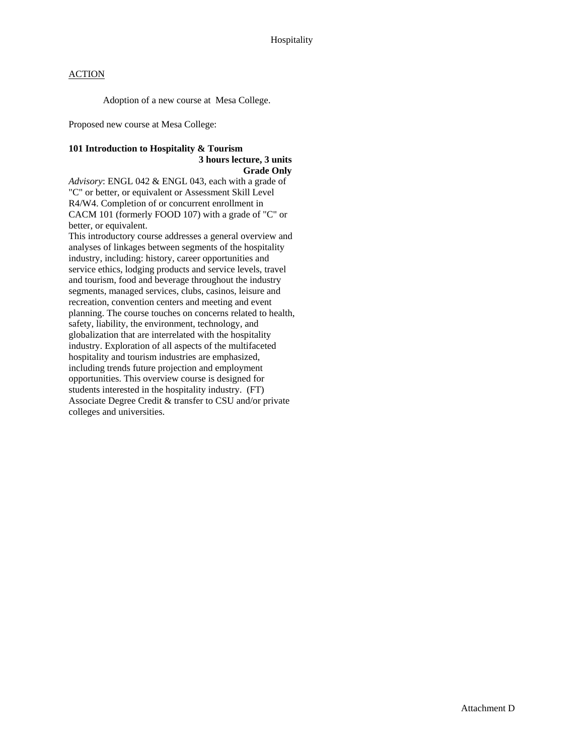Adoption of a new course at Mesa College.

Proposed new course at Mesa College:

#### **101 Introduction to Hospitality & Tourism 3 hours lecture, 3 units Grade Only**

*Advisory*: ENGL 042 & ENGL 043, each with a grade of "C" or better, or equivalent or Assessment Skill Level R4/W4. Completion of or concurrent enrollment in CACM 101 (formerly FOOD 107) with a grade of "C" or better, or equivalent.

This introductory course addresses a general overview and analyses of linkages between segments of the hospitality industry, including: history, career opportunities and service ethics, lodging products and service levels, travel and tourism, food and beverage throughout the industry segments, managed services, clubs, casinos, leisure and recreation, convention centers and meeting and event planning. The course touches on concerns related to health, safety, liability, the environment, technology, and globalization that are interrelated with the hospitality industry. Exploration of all aspects of the multifaceted hospitality and tourism industries are emphasized, including trends future projection and employment opportunities. This overview course is designed for students interested in the hospitality industry. (FT) Associate Degree Credit & transfer to CSU and/or private colleges and universities.